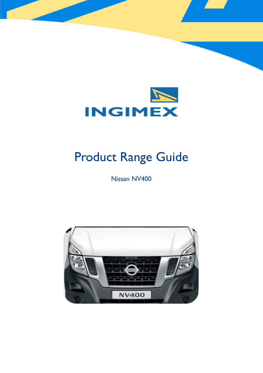

# Product Range Guide

Nissan NV400

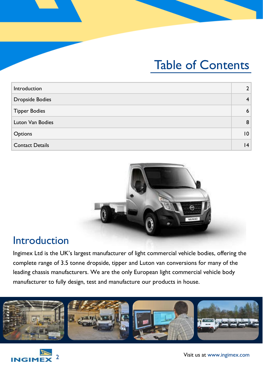## Table of Contents

| Introduction           |   |
|------------------------|---|
| <b>Dropside Bodies</b> |   |
| <b>Tipper Bodies</b>   | 6 |
| Luton Van Bodies       | 8 |
| Options                | 0 |
| <b>Contact Details</b> | 4 |



## Introduction

Ingimex Ltd is the UK's largest manufacturer of light commercial vehicle bodies, offering the complete range of 3.5 tonne dropside, tipper and Luton van conversions for many of the leading chassis manufacturers. We are the only European light commercial vehicle body manufacturer to fully design, test and manufacture our products in house.



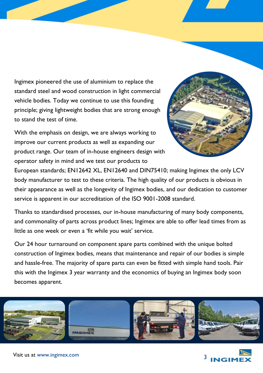Ingimex pioneered the use of aluminium to replace the standard steel and wood construction in light commercial vehicle bodies. Today we continue to use this founding principle; giving lightweight bodies that are strong enough to stand the test of time.

With the emphasis on design, we are always working to improve our current products as well as expanding our product range. Our team of in-house engineers design with operator safety in mind and we test our products to



European standards; EN12642 XL, EN12640 and DIN75410; making Ingimex the only LCV body manufacturer to test to these criteria. The high quality of our products is obvious in their appearance as well as the longevity of Ingimex bodies, and our dedication to customer service is apparent in our accreditation of the ISO 9001-2008 standard.

Thanks to standardised processes, our in-house manufacturing of many body components, and commonality of parts across product lines; Ingimex are able to offer lead times from as little as one week or even a 'fit while you wait' service.

Our 24 hour turnaround on component spare parts combined with the unique bolted construction of Ingimex bodies, means that maintenance and repair of our bodies is simple and hassle-free. The majority of spare parts can even be fitted with simple hand tools. Pair this with the Ingimex 3 year warranty and the economics of buying an Ingimex body soon becomes apparent.



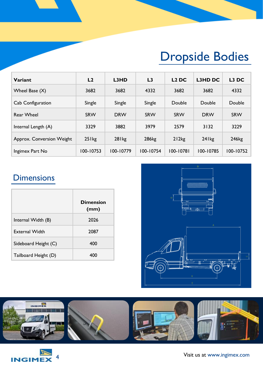# Dropside Bodies

| Variant                   | L2          | L3HD              | L <sub>3</sub>    | L <sub>2</sub> DC | L3HD DC     | L <sub>3</sub> DC |
|---------------------------|-------------|-------------------|-------------------|-------------------|-------------|-------------------|
| Wheel Base (X)            | 3682        | 3682              | 4332              | 3682              | 3682        | 4332              |
| Cab Configuration         | Single      | Single            | Single            | Double            | Double      | Double            |
| <b>Rear Wheel</b>         | <b>SRW</b>  | <b>DRW</b>        | SRW               | SRW               | <b>DRW</b>  | <b>SRW</b>        |
| Internal Length (A)       | 3329        | 3882              | 3979              | 2579              | 3132        | 3229              |
| Approx. Conversion Weight | $25$ l $kg$ | 28 <sub>lkg</sub> | 286 <sub>kg</sub> | 212kg             | $24$ l $kg$ | 246 <sub>kg</sub> |
| Ingimex Part No           | 100-10753   | 100-10779         | 100-10754         | 100-10781         | 100-10785   | 100-10752         |

## **Dimensions**

|                       | <b>Dimension</b><br>(mm) |
|-----------------------|--------------------------|
| Internal Width (B)    | 2026                     |
| <b>External Width</b> | 2087                     |
| Sideboard Height (C)  | 400                      |
| Tailboard Height (D)  | 400                      |





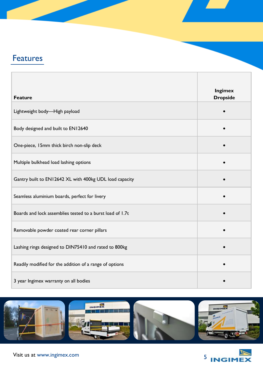## **Features**

| <b>Feature</b>                                            | <b>Ingimex</b><br><b>Dropside</b> |
|-----------------------------------------------------------|-----------------------------------|
| Lightweight body-High payload                             |                                   |
| Body designed and built to EN12640                        |                                   |
| One-piece, 15mm thick birch non-slip deck                 |                                   |
| Multiple bulkhead load lashing options                    |                                   |
| Gantry built to EN12642 XL with 400kg UDL load capacity   |                                   |
| Seamless aluminium boards, perfect for livery             |                                   |
| Boards and lock assemblies tested to a burst load of 1.7t |                                   |
| Removable powder coated rear corner pillars               |                                   |
| Lashing rings designed to DIN75410 and rated to 800kg     |                                   |
| Readily modified for the addition of a range of options   |                                   |
| 3 year Ingimex warranty on all bodies                     |                                   |



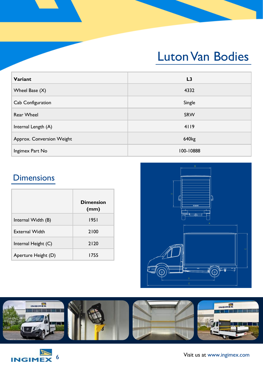## Luton Van Bodies

| Variant                   | L <sub>3</sub>    |
|---------------------------|-------------------|
| Wheel Base $(X)$          | 4332              |
| Cab Configuration         | Single            |
| <b>Rear Wheel</b>         | SRW               |
| Internal Length (A)       | 4119              |
| Approx. Conversion Weight | 640 <sub>kg</sub> |
| Ingimex Part No           | 100-10888         |

## **Dimensions**

|                       | <b>Dimension</b><br>(mm) |
|-----------------------|--------------------------|
| Internal Width (B)    | 1951                     |
| <b>External Width</b> | 2100                     |
| Internal Height (C)   | 2120                     |
| Aperture Height (D)   | 1755                     |





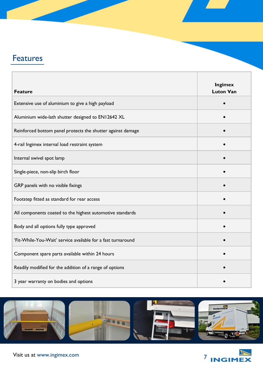## **Features**

| <b>Feature</b>                                               | <b>Ingimex</b><br><b>Luton Van</b> |
|--------------------------------------------------------------|------------------------------------|
| Extensive use of aluminium to give a high payload            |                                    |
| Aluminium wide-lath shutter designed to EN12642 XL           |                                    |
| Reinforced bottom panel protects the shutter against damage  |                                    |
| 4-rail Ingimex internal load restraint system                |                                    |
| Internal swivel spot lamp                                    |                                    |
| Single-piece, non-slip birch floor                           |                                    |
| GRP panels with no visible fixings                           |                                    |
| Footstep fitted as standard for rear access                  |                                    |
| All components coated to the highest automotive standards    |                                    |
| Body and all options fully type approved                     |                                    |
| 'Fit-While-You-Wait' service available for a fast turnaround |                                    |
| Component spare parts available within 24 hours              |                                    |
| Readily modified for the addition of a range of options      |                                    |
| 3 year warranty on bodies and options                        |                                    |



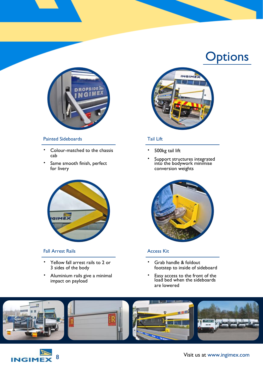

#### Painted Sideboards

- Colour-matched to the chassis cab
- Same smooth finish, perfect for livery



#### Fall Arrest Rails

- Yellow fall arrest rails to 2 or 3 sides of the body
- Aluminium rails give a minimal impact on payload



#### Tail Lift

- 500kg tail lift
- Support structures integrated into the bodywork minimise conversion weights



#### Access Kit

- Grab handle & foldout footstep to inside of sideboard
- Easy access to the front of the load bed when the sideboards are lowered



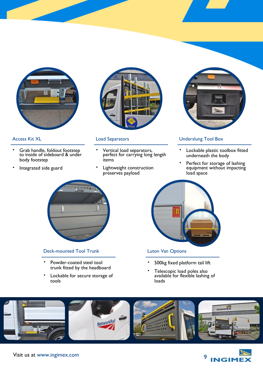

#### Access Kit XL

- Grab handle, foldout footstep to inside of sideboard & under body footstep
- Integrated side guard



#### Load Separators

- Vertical load separators, perfect for carrying long length items
- Lightweight construction preserves payload



#### Underslung Tool Box

- Lockable plastic toolbox fitted underneath the body
- Perfect for storage of lashing equipment without impacting load space



#### Deck-mounted Tool Trunk

- Powder-coated steel tool trunk fitted by the headboard
- Lockable for secure storage of tools



#### Luton Van Options

- 500kg fixed platform tail lift
- Telescopic load poles also available for flexible lashing of loads



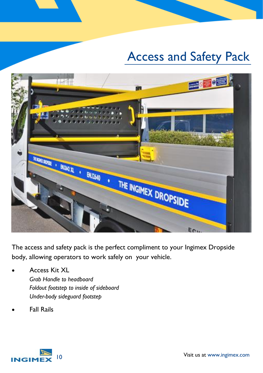# Access and Safety Pack



The access and safety pack is the perfect compliment to your Ingimex Dropside body, allowing operators to work safely on your vehicle.

- Access Kit XL *Grab Handle to headboard Foldout footstep to inside of sideboard Under-body sideguard footstep*
- Fall Rails

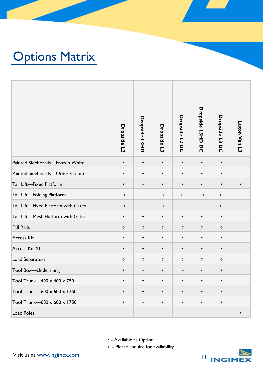# Options Matrix

|                                                                                                             | Dropside L2 | <b>Dropside L3HD</b> | Dropside L3 | Dropside L2<br>ă | <b>Dropside L3HD DC</b> | Dropside L3<br>g | Luton Van L3 |
|-------------------------------------------------------------------------------------------------------------|-------------|----------------------|-------------|------------------|-------------------------|------------------|--------------|
| Painted Sideboards-Frozen White                                                                             | $\bullet$   | $\bullet$            | $\bullet$   | $\bullet$        | $\bullet$               | $\bullet$        |              |
| Painted Sideboards-Other Colour                                                                             | $\bullet$   | $\bullet$            | $\bullet$   | $\bullet$        | $\bullet$               | $\bullet$        |              |
| Tail Lift-Fixed Platform                                                                                    | $\bullet$   | $\bullet$            | $\bullet$   | $\bullet$        | $\bullet$               | $\bullet$        | $\bullet$    |
| Tail Lift-Folding Platform                                                                                  | $\circ$     | $\circ$              | $\circ$     | $\circ$          | $\circ$                 | $\circ$          |              |
| Tail Lift-Fixed Platform with Gates                                                                         | $\circ$     | $\circ$              | $\circ$     | $\circ$          | $\circ$                 | $\circ$          |              |
| Tail Lift-Mesh Platform with Gates                                                                          | $\bullet$   | $\bullet$            | $\bullet$   | $\bullet$        | $\bullet$               | $\bullet$        |              |
| <b>Fall Rails</b>                                                                                           | $\circ$     | $\circ$              | $\circ$     | $\circ$          | $\circ$                 | $\circ$          |              |
| <b>Access Kit</b>                                                                                           | $\bullet$   | $\bullet$            | $\bullet$   | $\bullet$        | $\bullet$               | $\bullet$        |              |
| <b>Access Kit XL</b>                                                                                        | $\bullet$   | $\bullet$            | $\bullet$   | $\bullet$        | $\bullet$               | $\bullet$        |              |
| Load Separators                                                                                             | $\circ$     | $\circ$              | $\circ$     | $\circ$          | $\circ$                 | $\circ$          |              |
| Tool Box-Underslung                                                                                         | $\bullet$   | $\bullet$            | $\bullet$   | $\bullet$        | $\bullet$               | $\bullet$        |              |
| Tool Trunk-400 x 400 x 750                                                                                  | $\bullet$   | $\bullet$            | $\bullet$   | $\bullet$        | $\bullet$               | $\bullet$        |              |
| Tool Trunk-600 x 600 x 1250                                                                                 | $\bullet$   | $\bullet$            | $\bullet$   | $\bullet$        | $\bullet$               | $\bullet$        |              |
| Tool Trunk-600 x 600 x 1750                                                                                 | $\bullet$   | $\bullet$            | $\bullet$   | $\bullet$        | $\bullet$               | $\bullet$        |              |
| <b>Load Poles</b>                                                                                           |             |                      |             |                  |                         |                  |              |
| • - Available as Option<br>o - Please enquire for availability<br>Visit us at www.ingimex.com<br>Ш<br>INCIN |             |                      |             |                  |                         |                  |              |